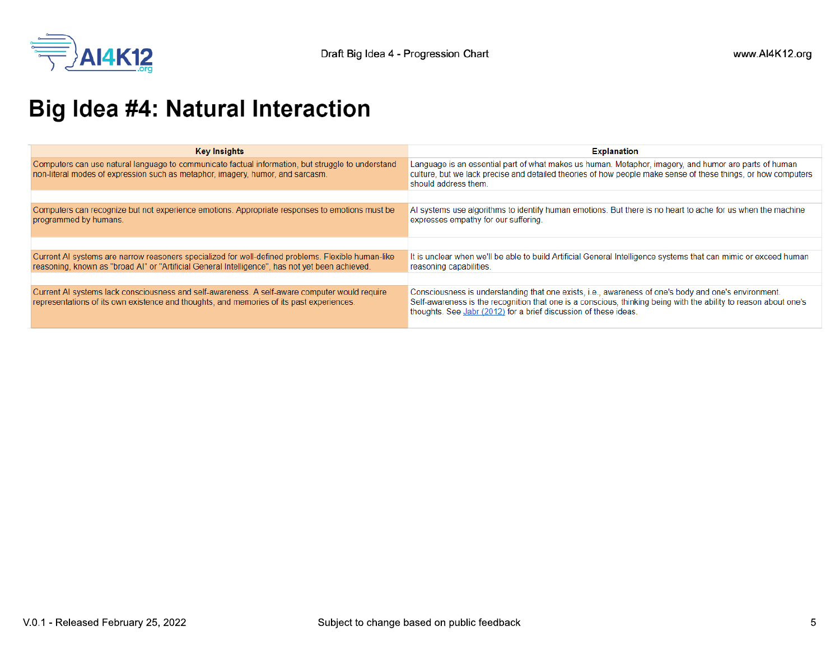

## **Big Idea #4: Natural Interaction**

| <b>Key Insights</b>                                                                                                                                                                                   | <b>Explanation</b>                                                                                                                                                                                                                                                                           |
|-------------------------------------------------------------------------------------------------------------------------------------------------------------------------------------------------------|----------------------------------------------------------------------------------------------------------------------------------------------------------------------------------------------------------------------------------------------------------------------------------------------|
| Computers can use natural language to communicate factual information, but struggle to understand<br>non-literal modes of expression such as metaphor, imagery, humor, and sarcasm.                   | Language is an essential part of what makes us human. Metaphor, imagery, and humor are parts of human<br>culture, but we lack precise and detailed theories of how people make sense of these things, or how computers<br>should address them.                                               |
|                                                                                                                                                                                                       |                                                                                                                                                                                                                                                                                              |
| Computers can recognize but not experience emotions. Appropriate responses to emotions must be<br>programmed by humans.                                                                               | Al systems use algorithms to identify human emotions. But there is no heart to ache for us when the machine<br>expresses empathy for our suffering.                                                                                                                                          |
|                                                                                                                                                                                                       |                                                                                                                                                                                                                                                                                              |
| Current AI systems are narrow reasoners specialized for well-defined problems. Flexible human-like<br>reasoning, known as "broad Al" or "Artificial General Intelligence", has not yet been achieved. | It is unclear when we'll be able to build Artificial General Intelligence systems that can mimic or exceed human<br>reasoning capabilities.                                                                                                                                                  |
|                                                                                                                                                                                                       |                                                                                                                                                                                                                                                                                              |
| Current AI systems lack consciousness and self-awareness. A self-aware computer would require<br>representations of its own existence and thoughts, and memories of its past experiences.             | Consciousness is understanding that one exists, i.e., awareness of one's body and one's environment.<br>Self-awareness is the recognition that one is a conscious, thinking being with the ability to reason about one's<br>thoughts. See Jabr (2012) for a brief discussion of these ideas. |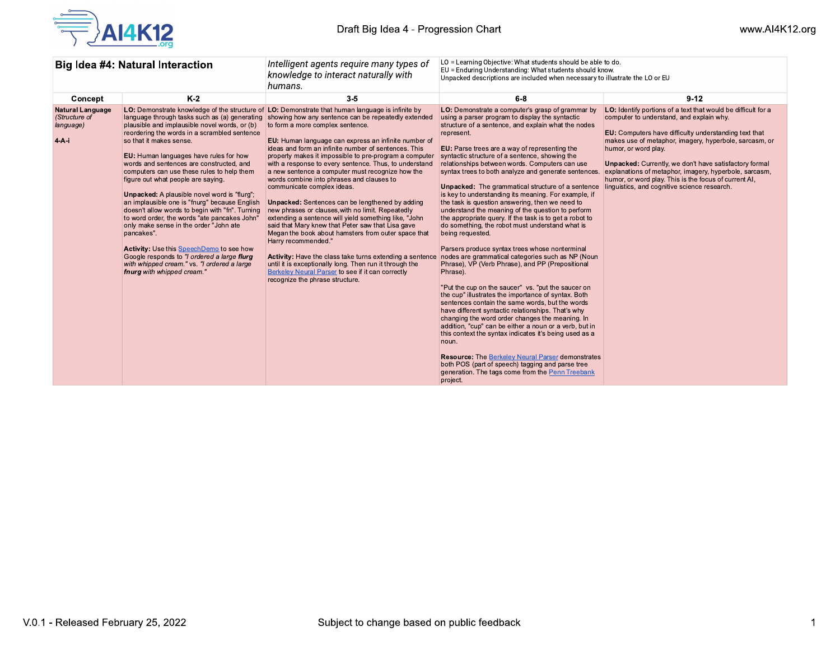

| Big Idea #4: Natural Interaction                               |                                                                                                                                                                                                                                                                                                                                                                                                                                                                                                                                                                                                                                                                                                                                                                                                | Intelligent agents require many types of<br>knowledge to interact naturally with<br>humans.                                                                                                                                                                                                                                                                                                                                                                                                                                                                                                                                                                                                                                                                                                                                                                                                                                                                                                                                                                                              | LO = Learning Objective: What students should be able to do.<br>EU = Enduring Understanding: What students should know.<br>Unpacked descriptions are included when necessary to illustrate the LO or EU                                                                                                                                                                                                                                                                                                                                                                                                                                                                                                                                                                                                                                                                                                                                                                                                                                                                                                                                                                                                                                                                                                                                                                                                                                                                                                                 |                                                                                                                                                                                                                                                                                                                                                                                                                                                                                                 |
|----------------------------------------------------------------|------------------------------------------------------------------------------------------------------------------------------------------------------------------------------------------------------------------------------------------------------------------------------------------------------------------------------------------------------------------------------------------------------------------------------------------------------------------------------------------------------------------------------------------------------------------------------------------------------------------------------------------------------------------------------------------------------------------------------------------------------------------------------------------------|------------------------------------------------------------------------------------------------------------------------------------------------------------------------------------------------------------------------------------------------------------------------------------------------------------------------------------------------------------------------------------------------------------------------------------------------------------------------------------------------------------------------------------------------------------------------------------------------------------------------------------------------------------------------------------------------------------------------------------------------------------------------------------------------------------------------------------------------------------------------------------------------------------------------------------------------------------------------------------------------------------------------------------------------------------------------------------------|-------------------------------------------------------------------------------------------------------------------------------------------------------------------------------------------------------------------------------------------------------------------------------------------------------------------------------------------------------------------------------------------------------------------------------------------------------------------------------------------------------------------------------------------------------------------------------------------------------------------------------------------------------------------------------------------------------------------------------------------------------------------------------------------------------------------------------------------------------------------------------------------------------------------------------------------------------------------------------------------------------------------------------------------------------------------------------------------------------------------------------------------------------------------------------------------------------------------------------------------------------------------------------------------------------------------------------------------------------------------------------------------------------------------------------------------------------------------------------------------------------------------------|-------------------------------------------------------------------------------------------------------------------------------------------------------------------------------------------------------------------------------------------------------------------------------------------------------------------------------------------------------------------------------------------------------------------------------------------------------------------------------------------------|
| Concept                                                        | $K-2$                                                                                                                                                                                                                                                                                                                                                                                                                                                                                                                                                                                                                                                                                                                                                                                          | $3-5$                                                                                                                                                                                                                                                                                                                                                                                                                                                                                                                                                                                                                                                                                                                                                                                                                                                                                                                                                                                                                                                                                    | $6-8$                                                                                                                                                                                                                                                                                                                                                                                                                                                                                                                                                                                                                                                                                                                                                                                                                                                                                                                                                                                                                                                                                                                                                                                                                                                                                                                                                                                                                                                                                                                   | $9 - 12$                                                                                                                                                                                                                                                                                                                                                                                                                                                                                        |
| <b>Natural Language</b><br>(Structure of<br>language)<br>$4-A$ | language through tasks such as (a) generating<br>plausible and implausible novel words, or (b)<br>reordering the words in a scrambled sentence<br>so that it makes sense.<br>EU: Human languages have rules for how<br>words and sentences are constructed, and<br>computers can use these rules to help them<br>figure out what people are saying.<br><b>Unpacked:</b> A plausible novel word is "flurg";<br>an implausible one is "fnurg" because English<br>doesn't allow words to begin with "fn". Turning<br>to word order, the words "ate pancakes John"<br>only make sense in the order "John ate<br>pancakes".<br>Activity: Use this SpeechDemo to see how<br>Google responds to "I ordered a large flurg<br>with whipped cream." vs. "I ordered a large<br>fnurg with whipped cream." | LO: Demonstrate knowledge of the structure of LO: Demonstrate that human language is infinite by<br>showing how any sentence can be repeatedly extended<br>to form a more complex sentence.<br>EU: Human language can express an infinite number of<br>ideas and form an infinite number of sentences. This<br>property makes it impossible to pre-program a computer<br>with a response to every sentence. Thus, to understand<br>a new sentence a computer must recognize how the<br>words combine into phrases and clauses to<br>communicate complex ideas.<br><b>Unpacked:</b> Sentences can be lengthened by adding<br>new phrases or clauses, with no limit. Repeatedly<br>extending a sentence will yield something like, "John<br>said that Mary knew that Peter saw that Lisa gave<br>Megan the book about hamsters from outer space that<br>Harry recommended."<br>Activity: Have the class take turns extending a sentence<br>until it is exceptionally long. Then run it through the<br>Berkeley Neural Parser to see if it can correctly<br>recognize the phrase structure. | LO: Demonstrate a computer's grasp of grammar by<br>using a parser program to display the syntactic<br>structure of a sentence, and explain what the nodes<br>represent.<br><b>EU:</b> Parse trees are a way of representing the<br>syntactic structure of a sentence, showing the<br>relationships between words. Computers can use<br>syntax trees to both analyze and generate sentences.<br><b>Unpacked:</b> The grammatical structure of a sentence<br>is key to understanding its meaning. For example, if<br>the task is question answering, then we need to<br>understand the meaning of the question to perform<br>the appropriate query. If the task is to get a robot to<br>do something, the robot must understand what is<br>being requested.<br>Parsers produce syntax trees whose nonterminal<br>nodes are grammatical categories such as NP (Noun<br>Phrase), VP (Verb Phrase), and PP (Prepositional<br>Phrase).<br>"Put the cup on the saucer" vs. "put the saucer on<br>the cup" illustrates the importance of syntax. Both<br>sentences contain the same words, but the words<br>have different syntactic relationships. That's why<br>changing the word order changes the meaning. In<br>addition, "cup" can be either a noun or a verb, but in<br>this context the syntax indicates it's being used as a<br>noun.<br><b>Resource: The Berkeley Neural Parser demonstrates</b><br>both POS (part of speech) tagging and parse tree<br>generation. The tags come from the Penn Treebank<br>project. | LO: Identify portions of a text that would be difficult for a<br>computer to understand, and explain why.<br><b>EU:</b> Computers have difficulty understanding text that<br>makes use of metaphor, imagery, hyperbole, sarcasm, or<br>humor, or word play.<br><b>Unpacked:</b> Currently, we don't have satisfactory formal<br>explanations of metaphor, imagery, hyperbole, sarcasm,<br>humor, or word play. This is the focus of current AI,<br>linguistics, and cognitive science research. |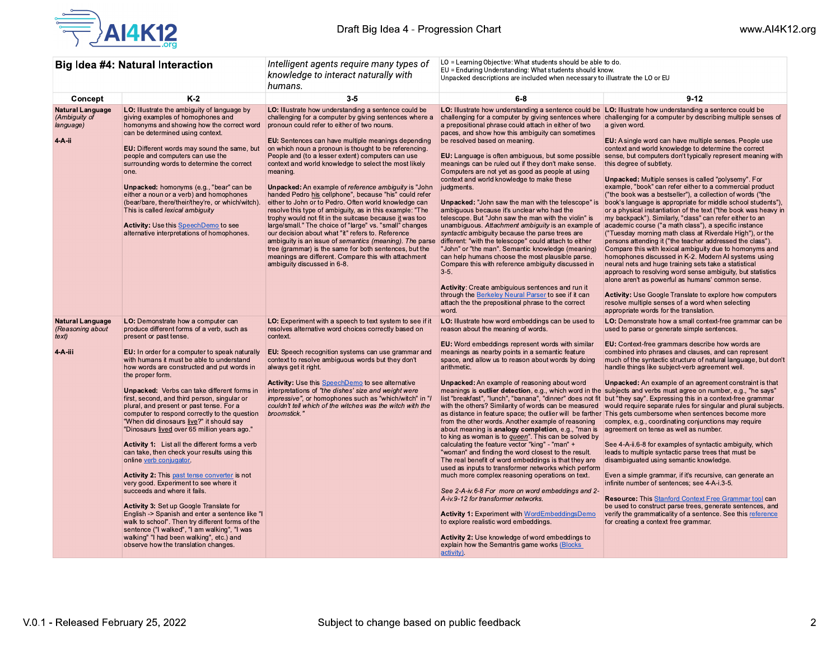

| <b>Big Idea #4: Natural Interaction</b>                         |                                                                                                                                                                                                                                                                                                                                                                                                                                                                                                                                                                                                                                                                                                                                                                                                                                                                                                                                                                                                           | Intelligent agents require many types of<br>knowledge to interact naturally with<br>humans.                                                                                                                                                                                                                                                                                                                                                                                                                                                                                                                                                                                                                                                                                                                                                                                                                                                                                                                                                 | LO = Learning Objective: What students should be able to do.<br>EU = Enduring Understanding: What students should know.<br>Unpacked descriptions are included when necessary to illustrate the LO or EU                                                                                                                                                                                                                                                                                                                                                                                                                                                                                                                                                                                                                                                                                                                                                                                                                                                                                                                                                                     |                                                                                                                                                                                                                                                                                                                                                                                                                                                                                                                                                                                                                                                                                                                                                                                                                                                                                                                                                                                                                                                                                                                                                                                                                                                                                                                                                                                        |
|-----------------------------------------------------------------|-----------------------------------------------------------------------------------------------------------------------------------------------------------------------------------------------------------------------------------------------------------------------------------------------------------------------------------------------------------------------------------------------------------------------------------------------------------------------------------------------------------------------------------------------------------------------------------------------------------------------------------------------------------------------------------------------------------------------------------------------------------------------------------------------------------------------------------------------------------------------------------------------------------------------------------------------------------------------------------------------------------|---------------------------------------------------------------------------------------------------------------------------------------------------------------------------------------------------------------------------------------------------------------------------------------------------------------------------------------------------------------------------------------------------------------------------------------------------------------------------------------------------------------------------------------------------------------------------------------------------------------------------------------------------------------------------------------------------------------------------------------------------------------------------------------------------------------------------------------------------------------------------------------------------------------------------------------------------------------------------------------------------------------------------------------------|-----------------------------------------------------------------------------------------------------------------------------------------------------------------------------------------------------------------------------------------------------------------------------------------------------------------------------------------------------------------------------------------------------------------------------------------------------------------------------------------------------------------------------------------------------------------------------------------------------------------------------------------------------------------------------------------------------------------------------------------------------------------------------------------------------------------------------------------------------------------------------------------------------------------------------------------------------------------------------------------------------------------------------------------------------------------------------------------------------------------------------------------------------------------------------|----------------------------------------------------------------------------------------------------------------------------------------------------------------------------------------------------------------------------------------------------------------------------------------------------------------------------------------------------------------------------------------------------------------------------------------------------------------------------------------------------------------------------------------------------------------------------------------------------------------------------------------------------------------------------------------------------------------------------------------------------------------------------------------------------------------------------------------------------------------------------------------------------------------------------------------------------------------------------------------------------------------------------------------------------------------------------------------------------------------------------------------------------------------------------------------------------------------------------------------------------------------------------------------------------------------------------------------------------------------------------------------|
| Concept                                                         | $K-2$                                                                                                                                                                                                                                                                                                                                                                                                                                                                                                                                                                                                                                                                                                                                                                                                                                                                                                                                                                                                     | $3 - 5$                                                                                                                                                                                                                                                                                                                                                                                                                                                                                                                                                                                                                                                                                                                                                                                                                                                                                                                                                                                                                                     | $6-8$                                                                                                                                                                                                                                                                                                                                                                                                                                                                                                                                                                                                                                                                                                                                                                                                                                                                                                                                                                                                                                                                                                                                                                       | $9-12$                                                                                                                                                                                                                                                                                                                                                                                                                                                                                                                                                                                                                                                                                                                                                                                                                                                                                                                                                                                                                                                                                                                                                                                                                                                                                                                                                                                 |
| <b>Natural Language</b><br>(Ambiguity of<br>language)<br>4-A-ii | LO: Illustrate the ambiguity of language by<br>giving examples of homophones and<br>homonyms and showing how the correct word<br>can be determined using context.<br>EU: Different words may sound the same, but<br>people and computers can use the<br>surrounding words to determine the correct<br>one.<br>Unpacked: homonyms (e.g., "bear" can be<br>either a noun or a verb) and homophones<br>(bear/bare, there/their/they're, or which/witch).<br>This is called lexical ambiguity<br><b>Activity:</b> Use this SpeechDemo to see<br>alternative interpretations of homophones.                                                                                                                                                                                                                                                                                                                                                                                                                    | LO: Illustrate how understanding a sentence could be<br>challenging for a computer by giving sentences where a<br>pronoun could refer to either of two nouns.<br>EU: Sentences can have multiple meanings depending<br>on which noun a pronoun is thought to be referencing.<br>People and (to a lesser extent) computers can use<br>context and world knowledge to select the most likely<br>meaning.<br><b>Unpacked:</b> An example of reference ambiguity is "John<br>handed Pedro his cellphone", because "his" could refer<br>either to John or to Pedro. Often world knowledge can<br>resolve this type of ambiguity, as in this example: "The<br>trophy would not fit in the suitcase because it was too<br>large/small." The choice of "large" vs. "small" changes<br>our decision about what "it" refers to. Reference<br>ambiguity is an issue of semantics (meaning). The parse<br>tree (grammar) is the same for both sentences, but the<br>meanings are different. Compare this with attachment<br>ambiguity discussed in 6-8. | LO: Illustrate how understanding a sentence could be LO: Illustrate how understanding a sentence could be<br>a prepositional phrase could attach in either of two<br>paces, and show how this ambiguity can sometimes<br>be resolved based on meaning.<br>EU: Language is often ambiguous, but some possible<br>meanings can be ruled out if they don't make sense.<br>Computers are not yet as good as people at using<br>context and world knowledge to make these<br>judgments.<br><b>Unpacked:</b> "John saw the man with the telescope" is<br>ambiguous because it's unclear who had the<br>telescope. But "John saw the man with the violin" is<br>unambiguous. Attachment ambiguity is an example of<br>syntactic ambiguity because the parse trees are<br>different: "with the telescope" could attach to either<br>"John" or "the man". Semantic knowledge (meaning)<br>can help humans choose the most plausible parse.<br>Compare this with reference ambiguity discussed in<br>$3-5.$<br>Activity: Create ambiguious sentences and run it<br>through the Berkeley Neural Parser to see if it can<br>attach the the prepositional phrase to the correct<br>word. | challenging for a computer by giving sentences where challenging for a computer by describing multiple senses of<br>a given word.<br><b>EU:</b> A single word can have multiple senses. People use<br>context and world knowledge to determine the correct<br>sense, but computers don't typically represent meaning with<br>this degree of subtlety.<br><b>Unpacked:</b> Multiple senses is called "polysemy". For<br>example, "book" can refer either to a commercial product<br>("the book was a bestseller"), a collection of words ("the<br>book's language is appropriate for middle school students"),<br>or a physical instantiation of the text ("the book was heavy in<br>my backpack"). Similarly, "class" can refer either to an<br>academic course ("a math class"), a specific instance<br>("Tuesday morning math class at Riverdale High"), or the<br>persons attending it ("the teacher addressed the class").<br>Compare this with lexical ambiguity due to homonyms and<br>homophones discussed in K-2. Modern AI systems using<br>neural nets and huge training sets take a statistical<br>approach to resolving word sense ambiguity, but statistics<br>alone aren't as powerful as humans' common sense.<br>Activity: Use Google Translate to explore how computers<br>resolve multiple senses of a word when selecting<br>appropriate words for the translation. |
| <b>Natural Language</b><br>(Reasoning about<br>text)            | <b>LO:</b> Demonstrate how a computer can<br>produce different forms of a verb, such as<br>present or past tense.                                                                                                                                                                                                                                                                                                                                                                                                                                                                                                                                                                                                                                                                                                                                                                                                                                                                                         | <b>LO:</b> Experiment with a speech to text system to see if it<br>resolves alternative word choices correctly based on<br>context.                                                                                                                                                                                                                                                                                                                                                                                                                                                                                                                                                                                                                                                                                                                                                                                                                                                                                                         | LO: Illustrate how word embeddings can be used to<br>reason about the meaning of words.<br>EU: Word embeddings represent words with similar                                                                                                                                                                                                                                                                                                                                                                                                                                                                                                                                                                                                                                                                                                                                                                                                                                                                                                                                                                                                                                 | LO: Demonstrate how a small context-free grammar can be<br>used to parse or generate simple sentences.<br><b>EU:</b> Context-free grammars describe how words are                                                                                                                                                                                                                                                                                                                                                                                                                                                                                                                                                                                                                                                                                                                                                                                                                                                                                                                                                                                                                                                                                                                                                                                                                      |
| 4-A-iii                                                         | EU: In order for a computer to speak naturally<br>with humans it must be able to understand<br>how words are constructed and put words in<br>the proper form.<br>Unpacked: Verbs can take different forms in<br>first, second, and third person, singular or<br>plural, and present or past tense. For a<br>computer to respond correctly to the question<br>"When did dinosaurs live?" it should say<br>"Dinosaurs lived over 65 million years ago."<br>Activity 1: List all the different forms a verb<br>can take, then check your results using this<br>online verb conjugator.<br><b>Activity 2:</b> This past tense converter is not<br>very good. Experiment to see where it<br>succeeds and where it fails.<br>Activity 3: Set up Google Translate for<br>English -> Spanish and enter a sentence like "I<br>walk to school". Then try different forms of the<br>sentence ("I walked", "I am walking", "I was<br>walking" "I had been walking", etc.) and<br>observe how the translation changes. | <b>EU:</b> Speech recognition systems can use grammar and<br>context to resolve ambiguous words but they don't<br>always get it right.<br>Activity: Use this SpeechDemo to see alternative<br>interpretations of "the dishes' size and weight were<br><i>impressive"</i> , or homophones such as "which/witch" in "/<br>couldn't tell which of the witches was the witch with the<br>broomstick."                                                                                                                                                                                                                                                                                                                                                                                                                                                                                                                                                                                                                                           | meanings as nearby points in a semantic feature<br>space, and allow us to reason about words by doing<br>arithmetic.<br><b>Unpacked:</b> An example of reasoning about word<br>meanings is outlier detection, e.g., which word in the<br>list "breakfast", "lunch", "banana", "dinner" does not fit<br>with the others? Similarity of words can be measured<br>from the other words. Another example of reasoning<br>about meaning is analogy completion, e.g., "man is<br>to king as woman is to <i>queen</i> ". This can be solved by<br>calculating the feature vector "king" - "man" +<br>"woman" and finding the word closest to the result.<br>The real benefit of word embeddings is that they are<br>used as inputs to transformer networks which perform<br>much more complex reasoning operations on text.<br>See 2-A-iv.6-8 For more on word embeddings and 2-<br>A-iv.9-12 for transformer networks.<br><b>Activity 1: Experiment with WordEmbeddingsDemo</b><br>to explore realistic word embeddings.<br>Activity 2: Use knowledge of word embeddings to<br>explain how the Semantris game works (Blocks<br>activity).                                         | combined into phrases and clauses, and can represent<br>much of the syntactic structure of natural language, but don't<br>handle things like subject-verb agreement well.<br>Unpacked: An example of an agreement constraint is that<br>subjects and verbs must agree on number, e.g., "he says"<br>but "they say". Expressing this in a context-free grammar<br>would require separate rules for singular and plural subjects.<br>as distance in feature space; the outlier will be farther This gets cumbersome when sentences become more<br>complex, e.g., coordinating conjunctions may require<br>agreement on tense as well as number.<br>See 4-A-ii.6-8 for examples of syntactic ambiguity, which<br>leads to multiple syntactic parse trees that must be<br>disambiguated using semantic knowledge.<br>Even a simple grammar, if it's recursive, can generate an<br>infinite number of sentences; see 4-A-i.3-5.<br><b>Resource: This Stanford Context Free Grammar tool can</b><br>be used to construct parse trees, generate sentences, and<br>verify the grammaticality of a sentence. See this reference<br>for creating a context free grammar.                                                                                                                                                                                                                         |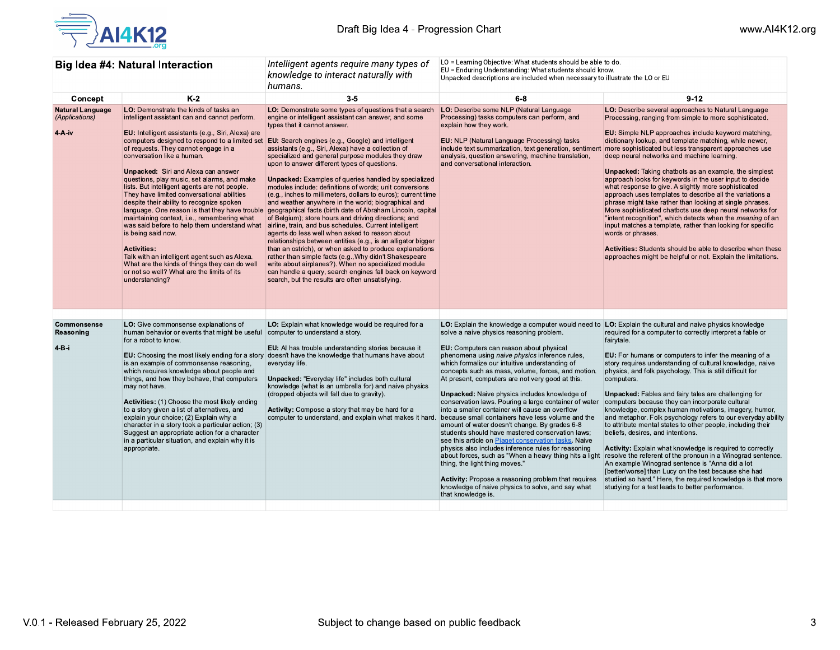

| <b>Big Idea #4: Natural Interaction</b>               |                                                                                                                                                                                                                                                                                                                                                                                                                                                                                                                                                                                                                                                                                                                                                                                                                                                                              | Intelligent agents require many types of<br>knowledge to interact naturally with<br>humans.                                                                                                                                                                                                                                                                                                                                                                                                                                                                                                                                                                                                                                                                                                                                                                                                                                                                                                                                                                                                                                                                                                                         | LO = Learning Objective: What students should be able to do.<br>EU = Enduring Understanding: What students should know.<br>Unpacked descriptions are included when necessary to illustrate the LO or EU                                                                                                                                                                                                                                                                                                                                                                                                                                                                                                                                                                                                                                                                                                                                                                             |                                                                                                                                                                                                                                                                                                                                                                                                                                                                                                                                                                                                                                                                                                                                                                                                                                                                                                                                                                                                                                                                                              |
|-------------------------------------------------------|------------------------------------------------------------------------------------------------------------------------------------------------------------------------------------------------------------------------------------------------------------------------------------------------------------------------------------------------------------------------------------------------------------------------------------------------------------------------------------------------------------------------------------------------------------------------------------------------------------------------------------------------------------------------------------------------------------------------------------------------------------------------------------------------------------------------------------------------------------------------------|---------------------------------------------------------------------------------------------------------------------------------------------------------------------------------------------------------------------------------------------------------------------------------------------------------------------------------------------------------------------------------------------------------------------------------------------------------------------------------------------------------------------------------------------------------------------------------------------------------------------------------------------------------------------------------------------------------------------------------------------------------------------------------------------------------------------------------------------------------------------------------------------------------------------------------------------------------------------------------------------------------------------------------------------------------------------------------------------------------------------------------------------------------------------------------------------------------------------|-------------------------------------------------------------------------------------------------------------------------------------------------------------------------------------------------------------------------------------------------------------------------------------------------------------------------------------------------------------------------------------------------------------------------------------------------------------------------------------------------------------------------------------------------------------------------------------------------------------------------------------------------------------------------------------------------------------------------------------------------------------------------------------------------------------------------------------------------------------------------------------------------------------------------------------------------------------------------------------|----------------------------------------------------------------------------------------------------------------------------------------------------------------------------------------------------------------------------------------------------------------------------------------------------------------------------------------------------------------------------------------------------------------------------------------------------------------------------------------------------------------------------------------------------------------------------------------------------------------------------------------------------------------------------------------------------------------------------------------------------------------------------------------------------------------------------------------------------------------------------------------------------------------------------------------------------------------------------------------------------------------------------------------------------------------------------------------------|
| Concept                                               | $K-2$                                                                                                                                                                                                                                                                                                                                                                                                                                                                                                                                                                                                                                                                                                                                                                                                                                                                        | $3 - 5$                                                                                                                                                                                                                                                                                                                                                                                                                                                                                                                                                                                                                                                                                                                                                                                                                                                                                                                                                                                                                                                                                                                                                                                                             | $6 - 8$                                                                                                                                                                                                                                                                                                                                                                                                                                                                                                                                                                                                                                                                                                                                                                                                                                                                                                                                                                             | $9 - 12$                                                                                                                                                                                                                                                                                                                                                                                                                                                                                                                                                                                                                                                                                                                                                                                                                                                                                                                                                                                                                                                                                     |
| <b>Natural Language</b><br>(Applications)<br>$4-A-iv$ | LO: Demonstrate the kinds of tasks an<br>intelligent assistant can and cannot perform.<br>EU: Intelligent assistants (e.g., Siri, Alexa) are<br>computers designed to respond to a limited set<br>of requests. They cannot engage in a<br>conversation like a human.<br><b>Unpacked:</b> Siri and Alexa can answer<br>questions, play music, set alarms, and make<br>lists. But intelligent agents are not people.<br>They have limited conversational abilities<br>despite their ability to recognize spoken<br>language. One reason is that they have trouble<br>maintaining context, i.e., remembering what<br>was said before to help them understand what<br>is being said now.<br><b>Activities:</b><br>Talk with an intelligent agent such as Alexa.<br>What are the kinds of things they can do well<br>or not so well? What are the limits of its<br>understanding? | LO: Demonstrate some types of questions that a search<br>engine or intelligent assistant can answer, and some<br>types that it cannot answer.<br><b>EU:</b> Search engines (e.g., Google) and intelligent<br>assistants (e.g., Siri, Alexa) have a collection of<br>specialized and general purpose modules they draw<br>upon to answer different types of questions.<br><b>Unpacked:</b> Examples of queries handled by specialized<br>modules include: definitions of words; unit conversions<br>(e.g., inches to millimeters, dollars to euros); current time<br>and weather anywhere in the world; biographical and<br>geographical facts (birth date of Abraham Lincoln, capital<br>of Belgium); store hours and driving directions; and<br>airline, train, and bus schedules. Current intelligent<br>agents do less well when asked to reason about<br>relationships between entities (e.g., is an alligator bigger<br>than an ostrich), or when asked to produce explanations<br>rather than simple facts (e.g., Why didn't Shakespeare<br>write about airplanes?). When no specialized module<br>can handle a query, search engines fall back on keyword<br>search, but the results are often unsatisfying. | LO: Describe some NLP (Natural Language<br>Processing) tasks computers can perform, and<br>explain how they work.<br><b>EU:</b> NLP (Natural Language Processing) tasks<br>include text summarization, text generation, sentiment<br>analysis, question answering, machine translation,<br>and conversational interaction.                                                                                                                                                                                                                                                                                                                                                                                                                                                                                                                                                                                                                                                          | LO: Describe several approaches to Natural Language<br>Processing, ranging from simple to more sophisticated.<br>EU: Simple NLP approaches include keyword matching,<br>dictionary lookup, and template matching, while newer,<br>more sophisticated but less transparent approaches use<br>deep neural networks and machine learning.<br><b>Unpacked:</b> Taking chatbots as an example, the simplest<br>approach looks for keywords in the user input to decide<br>what response to give. A slightly more sophisticated<br>approach uses templates to describe all the variations a<br>phrase might take rather than looking at single phrases.<br>More sophisticated chatbots use deep neural networks for<br>"intent recognition", which detects when the meaning of an<br>input matches a template, rather than looking for specific<br>words or phrases.<br>Activities: Students should be able to describe when these<br>approaches might be helpful or not. Explain the limitations.                                                                                                 |
|                                                       |                                                                                                                                                                                                                                                                                                                                                                                                                                                                                                                                                                                                                                                                                                                                                                                                                                                                              |                                                                                                                                                                                                                                                                                                                                                                                                                                                                                                                                                                                                                                                                                                                                                                                                                                                                                                                                                                                                                                                                                                                                                                                                                     |                                                                                                                                                                                                                                                                                                                                                                                                                                                                                                                                                                                                                                                                                                                                                                                                                                                                                                                                                                                     |                                                                                                                                                                                                                                                                                                                                                                                                                                                                                                                                                                                                                                                                                                                                                                                                                                                                                                                                                                                                                                                                                              |
| Commonsense<br>Reasoning<br>4-B-i                     | LO: Give commonsense explanations of<br>human behavior or events that might be useful<br>for a robot to know.<br>is an example of commonsense reasoning,<br>which requires knowledge about people and<br>things, and how they behave, that computers<br>may not have.<br>Activities: (1) Choose the most likely ending<br>to a story given a list of alternatives, and<br>explain your choice; (2) Explain why a<br>character in a story took a particular action; (3)<br>Suggest an appropriate action for a character<br>in a particular situation, and explain why it is<br>appropriate.                                                                                                                                                                                                                                                                                  | LO: Explain what knowledge would be required for a<br>computer to understand a story.<br>EU: Al has trouble understanding stories because it<br>EU: Choosing the most likely ending for a story doesn't have the knowledge that humans have about<br>everyday life.<br><b>Unpacked: "Everyday life" includes both cultural</b><br>knowledge (what is an umbrella for) and naive physics<br>(dropped objects will fall due to gravity).<br>Activity: Compose a story that may be hard for a<br>computer to understand, and explain what makes it hard.                                                                                                                                                                                                                                                                                                                                                                                                                                                                                                                                                                                                                                                               | solve a naive physics reasoning problem.<br>EU: Computers can reason about physical<br>phenomena using naive physics inference rules,<br>which formalize our intuitive understanding of<br>concepts such as mass, volume, forces, and motion.<br>At present, computers are not very good at this.<br><b>Unpacked:</b> Naive physics includes knowledge of<br>conservation laws. Pouring a large container of water<br>into a smaller container will cause an overflow<br>because small containers have less volume and the<br>amount of water doesn't change. By grades 6-8<br>students should have mastered conservation laws;<br>see this article on Piaget conservation tasks. Naive<br>physics also includes inference rules for reasoning<br>about forces, such as "When a heavy thing hits a light<br>thing, the light thing moves."<br><b>Activity:</b> Propose a reasoning problem that requires<br>knowledge of naive physics to solve, and say what<br>that knowledge is. | LO: Explain the knowledge a computer would need to LO: Explain the cultural and naive physics knowledge<br>required for a computer to correctly interpret a fable or<br>fairytale.<br>EU: For humans or computers to infer the meaning of a<br>story requires understanding of cultural knowledge, naive<br>physics, and folk psychology. This is still difficult for<br>computers.<br><b>Unpacked:</b> Fables and fairy tales are challenging for<br>computers because they can incorporate cultural<br>knowledge, complex human motivations, imagery, humor,<br>and metaphor. Folk psychology refers to our everyday ability<br>to attribute mental states to other people, including their<br>beliefs, desires, and intentions.<br>Activity: Explain what knowledge is required to correctly<br>resolve the referent of the pronoun in a Winograd sentence.<br>An example Winograd sentence is "Anna did a lot<br>[better/worse] than Lucy on the test because she had<br>studied so hard." Here, the required knowledge is that more<br>studying for a test leads to better performance. |